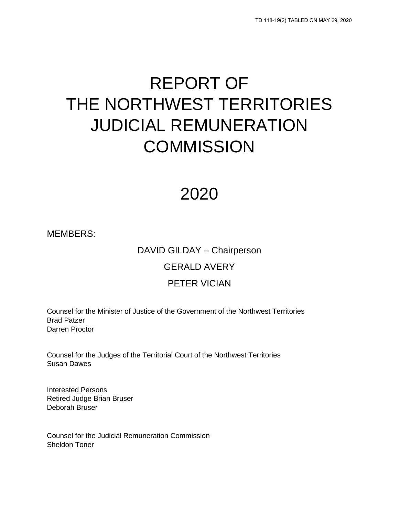# REPORT OF THE NORTHWEST TERRITORIES JUDICIAL REMUNERATION **COMMISSION**

# 2020

MEMBERS:

# DAVID GILDAY – Chairperson GERALD AVERY

### PETER VICIAN

Counsel for the Minister of Justice of the Government of the Northwest Territories Brad Patzer Darren Proctor

Counsel for the Judges of the Territorial Court of the Northwest Territories Susan Dawes

Interested Persons Retired Judge Brian Bruser Deborah Bruser

Counsel for the Judicial Remuneration Commission Sheldon Toner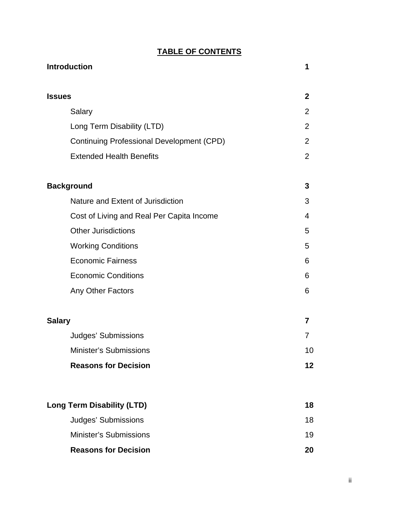### **TABLE OF CONTENTS**

| <b>Introduction</b>                              | 1              |
|--------------------------------------------------|----------------|
| <b>Issues</b>                                    | $\mathbf{2}$   |
| Salary                                           | $\overline{2}$ |
| Long Term Disability (LTD)                       | $\overline{2}$ |
| <b>Continuing Professional Development (CPD)</b> | $\overline{2}$ |
| <b>Extended Health Benefits</b>                  | 2              |
| <b>Background</b>                                | 3              |
| Nature and Extent of Jurisdiction                | 3              |
| Cost of Living and Real Per Capita Income        | 4              |
| <b>Other Jurisdictions</b>                       | 5              |
| <b>Working Conditions</b>                        | 5              |
| <b>Economic Fairness</b>                         | 6              |
| <b>Economic Conditions</b>                       | 6              |
| Any Other Factors                                | 6              |
| <b>Salary</b>                                    | 7              |
| Judges' Submissions                              | $\prime$       |
| <b>Minister's Submissions</b>                    | 10             |
| <b>Reasons for Decision</b>                      | 12             |
| <b>Long Term Disability (LTD)</b>                | 18             |
| Judges' Submissions                              | 18             |
| <b>Minister's Submissions</b>                    | 19             |
| <b>Reasons for Decision</b>                      | 20             |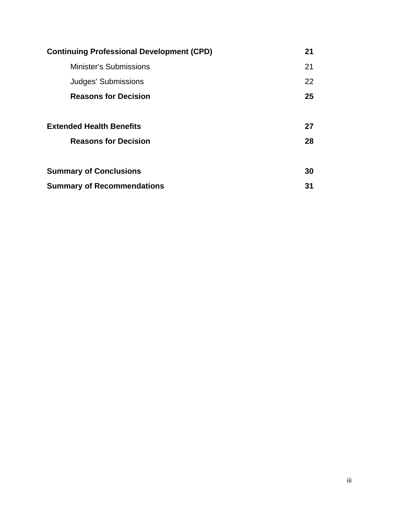| <b>Continuing Professional Development (CPD)</b> | 21 |
|--------------------------------------------------|----|
| <b>Minister's Submissions</b>                    | 21 |
| Judges' Submissions                              | 22 |
| <b>Reasons for Decision</b>                      | 25 |
|                                                  |    |
| <b>Extended Health Benefits</b>                  | 27 |
| <b>Reasons for Decision</b>                      | 28 |
|                                                  |    |
| <b>Summary of Conclusions</b>                    | 30 |
| <b>Summary of Recommendations</b>                | 31 |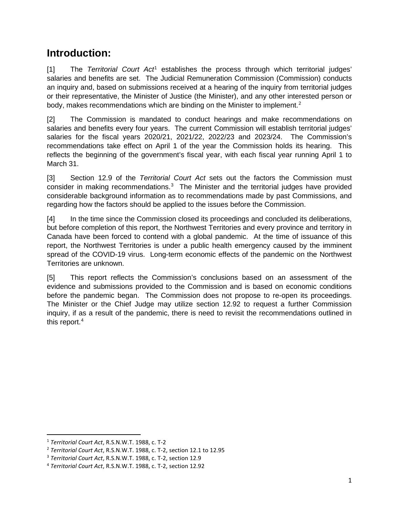### **Introduction:**

[1] The *Territorial Court Act*[1](#page-3-0) establishes the process through which territorial judges' salaries and benefits are set. The Judicial Remuneration Commission (Commission) conducts an inquiry and, based on submissions received at a hearing of the inquiry from territorial judges or their representative, the Minister of Justice (the Minister), and any other interested person or body, makes recommendations which are binding on the Minister to implement.<sup>[2](#page-3-1)</sup>

[2] The Commission is mandated to conduct hearings and make recommendations on salaries and benefits every four years. The current Commission will establish territorial judges' salaries for the fiscal years 2020/21, 2021/22, 2022/23 and 2023/24. The Commission's recommendations take effect on April 1 of the year the Commission holds its hearing. This reflects the beginning of the government's fiscal year, with each fiscal year running April 1 to March 31.

[3] Section 12.9 of the *Territorial Court Act* sets out the factors the Commission must consider in making recommendations.<sup>[3](#page-3-2)</sup> The Minister and the territorial judges have provided considerable background information as to recommendations made by past Commissions, and regarding how the factors should be applied to the issues before the Commission.

[4] In the time since the Commission closed its proceedings and concluded its deliberations, but before completion of this report, the Northwest Territories and every province and territory in Canada have been forced to contend with a global pandemic. At the time of issuance of this report, the Northwest Territories is under a public health emergency caused by the imminent spread of the COVID-19 virus. Long-term economic effects of the pandemic on the Northwest Territories are unknown.

[5] This report reflects the Commission's conclusions based on an assessment of the evidence and submissions provided to the Commission and is based on economic conditions before the pandemic began. The Commission does not propose to re-open its proceedings. The Minister or the Chief Judge may utilize section 12.92 to request a further Commission inquiry, if as a result of the pandemic, there is need to revisit the recommendations outlined in this report.<sup>4</sup>

<span id="page-3-0"></span><sup>1</sup> *Territorial Court Act*, R.S.N.W.T. 1988, c. T-2

<span id="page-3-1"></span><sup>2</sup> *Territorial Court Act*, R.S.N.W.T. 1988, c. T-2, section 12.1 to 12.95

<span id="page-3-2"></span><sup>3</sup> *Territorial Court Act*, R.S.N.W.T. 1988, c. T-2, section 12.9

<span id="page-3-3"></span><sup>4</sup> *Territorial Court Act*, R.S.N.W.T. 1988, c. T-2, section 12.92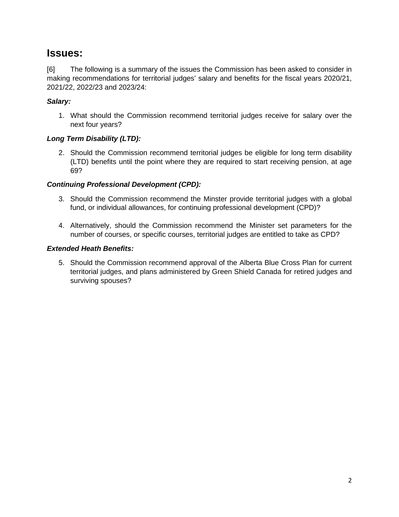### **Issues:**

[6] The following is a summary of the issues the Commission has been asked to consider in making recommendations for territorial judges' salary and benefits for the fiscal years 2020/21, 2021/22, 2022/23 and 2023/24:

#### *Salary:*

1. What should the Commission recommend territorial judges receive for salary over the next four years?

#### *Long Term Disability (LTD):*

2. Should the Commission recommend territorial judges be eligible for long term disability (LTD) benefits until the point where they are required to start receiving pension, at age 69?

#### *Continuing Professional Development (CPD):*

- 3. Should the Commission recommend the Minster provide territorial judges with a global fund, or individual allowances, for continuing professional development (CPD)?
- 4. Alternatively, should the Commission recommend the Minister set parameters for the number of courses, or specific courses, territorial judges are entitled to take as CPD?

#### *Extended Heath Benefits:*

5. Should the Commission recommend approval of the Alberta Blue Cross Plan for current territorial judges, and plans administered by Green Shield Canada for retired judges and surviving spouses?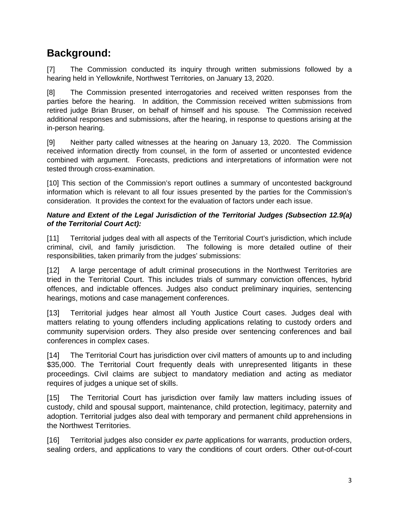### **Background:**

[7] The Commission conducted its inquiry through written submissions followed by a hearing held in Yellowknife, Northwest Territories, on January 13, 2020.

[8] The Commission presented interrogatories and received written responses from the parties before the hearing. In addition, the Commission received written submissions from retired judge Brian Bruser, on behalf of himself and his spouse. The Commission received additional responses and submissions, after the hearing, in response to questions arising at the in-person hearing.

[9] Neither party called witnesses at the hearing on January 13, 2020. The Commission received information directly from counsel, in the form of asserted or uncontested evidence combined with argument. Forecasts, predictions and interpretations of information were not tested through cross-examination.

[10] This section of the Commission's report outlines a summary of uncontested background information which is relevant to all four issues presented by the parties for the Commission's consideration. It provides the context for the evaluation of factors under each issue.

#### *Nature and Extent of the Legal Jurisdiction of the Territorial Judges (Subsection 12.9(a) of the Territorial Court Act):*

[11] Territorial judges deal with all aspects of the Territorial Court's jurisdiction, which include criminal, civil, and family jurisdiction. The following is more detailed outline of their responsibilities, taken primarily from the judges' submissions:

[12] A large percentage of adult criminal prosecutions in the Northwest Territories are tried in the Territorial Court. This includes trials of summary conviction offences, hybrid offences, and indictable offences. Judges also conduct preliminary inquiries, sentencing hearings, motions and case management conferences.

[13] Territorial judges hear almost all Youth Justice Court cases. Judges deal with matters relating to young offenders including applications relating to custody orders and community supervision orders. They also preside over sentencing conferences and bail conferences in complex cases.

[14] The Territorial Court has jurisdiction over civil matters of amounts up to and including \$35,000. The Territorial Court frequently deals with unrepresented litigants in these proceedings. Civil claims are subject to mandatory mediation and acting as mediator requires of judges a unique set of skills.

[15] The Territorial Court has jurisdiction over family law matters including issues of custody, child and spousal support, maintenance, child protection, legitimacy, paternity and adoption. Territorial judges also deal with temporary and permanent child apprehensions in the Northwest Territories.

[16] Territorial judges also consider *ex parte* applications for warrants, production orders, sealing orders, and applications to vary the conditions of court orders. Other out-of-court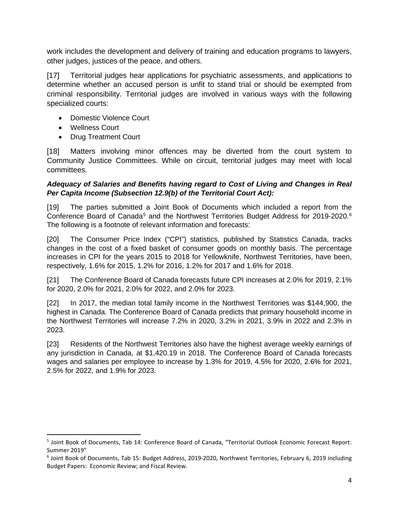work includes the development and delivery of training and education programs to lawyers, other judges, justices of the peace, and others.

[17] Territorial judges hear applications for psychiatric assessments, and applications to determine whether an accused person is unfit to stand trial or should be exempted from criminal responsibility. Territorial judges are involved in various ways with the following specialized courts:

- Domestic Violence Court
- Wellness Court
- Drug Treatment Court

[18] Matters involving minor offences may be diverted from the court system to Community Justice Committees. While on circuit, territorial judges may meet with local committees.

#### *Adequacy of Salaries and Benefits having regard to Cost of Living and Changes in Real Per Capita Income (Subsection 12.9(b) of the Territorial Court Act):*

[19] The parties submitted a Joint Book of Documents which included a report from the Conference Board of Canada<sup>[5](#page-6-0)</sup> and the Northwest Territories Budget Address for 2019-2020.<sup>[6](#page-6-1)</sup> The following is a footnote of relevant information and forecasts:

[20] The Consumer Price Index ("CPI") statistics, published by Statistics Canada, tracks changes in the cost of a fixed basket of consumer goods on monthly basis. The percentage increases in CPI for the years 2015 to 2018 for Yellowknife, Northwest Territories, have been, respectively, 1.6% for 2015, 1.2% for 2016, 1.2% for 2017 and 1.6% for 2018.

[21] The Conference Board of Canada forecasts future CPI increases at 2.0% for 2019, 2.1% for 2020, 2.0% for 2021, 2.0% for 2022, and 2.0% for 2023.

[22] In 2017, the median total family income in the Northwest Territories was \$144,900, the highest in Canada. The Conference Board of Canada predicts that primary household income in the Northwest Territories will increase 7.2% in 2020, 3.2% in 2021, 3.9% in 2022 and 2.3% in 2023.

[23] Residents of the Northwest Territories also have the highest average weekly earnings of any jurisdiction in Canada, at \$1,420.19 in 2018. The Conference Board of Canada forecasts wages and salaries per employee to increase by 1.3% for 2019, 4.5% for 2020, 2.6% for 2021, 2.5% for 2022, and 1.9% for 2023.

<span id="page-6-0"></span><sup>5</sup> Joint Book of Documents, Tab 14: Conference Board of Canada, "Territorial Outlook Economic Forecast Report: Summer 2019"

<span id="page-6-1"></span><sup>6</sup> Joint Book of Documents, Tab 15: Budget Address, 2019-2020, Northwest Territories, February 6, 2019 including Budget Papers: Economic Review; and Fiscal Review.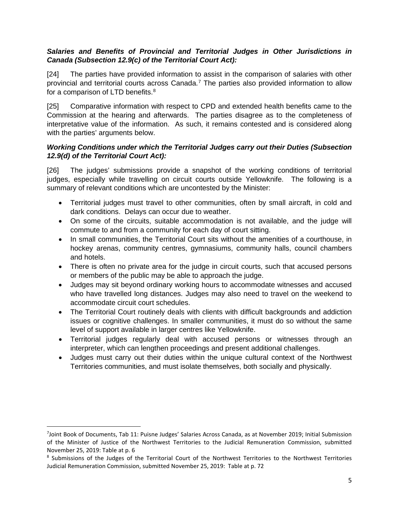#### *Salaries and Benefits of Provincial and Territorial Judges in Other Jurisdictions in Canada (Subsection 12.9(c) of the Territorial Court Act):*

[24] The parties have provided information to assist in the comparison of salaries with other provincial and territorial courts across Canada.[7](#page-7-0) The parties also provided information to allow for a comparison of LTD benefits. $^8$  $^8$ 

[25] Comparative information with respect to CPD and extended health benefits came to the Commission at the hearing and afterwards. The parties disagree as to the completeness of interpretative value of the information. As such, it remains contested and is considered along with the parties' arguments below.

#### *Working Conditions under which the Territorial Judges carry out their Duties (Subsection 12.9(d) of the Territorial Court Act):*

[26] The judges' submissions provide a snapshot of the working conditions of territorial judges, especially while travelling on circuit courts outside Yellowknife. The following is a summary of relevant conditions which are uncontested by the Minister:

- Territorial judges must travel to other communities, often by small aircraft, in cold and dark conditions. Delays can occur due to weather.
- On some of the circuits, suitable accommodation is not available, and the judge will commute to and from a community for each day of court sitting.
- In small communities, the Territorial Court sits without the amenities of a courthouse, in hockey arenas, community centres, gymnasiums, community halls, council chambers and hotels.
- There is often no private area for the judge in circuit courts, such that accused persons or members of the public may be able to approach the judge.
- Judges may sit beyond ordinary working hours to accommodate witnesses and accused who have travelled long distances. Judges may also need to travel on the weekend to accommodate circuit court schedules.
- The Territorial Court routinely deals with clients with difficult backgrounds and addiction issues or cognitive challenges. In smaller communities, it must do so without the same level of support available in larger centres like Yellowknife.
- Territorial judges regularly deal with accused persons or witnesses through an interpreter, which can lengthen proceedings and present additional challenges.
- Judges must carry out their duties within the unique cultural context of the Northwest Territories communities, and must isolate themselves, both socially and physically.

<span id="page-7-0"></span><sup>&</sup>lt;sup>7</sup>Joint Book of Documents, Tab 11: Puisne Judges' Salaries Across Canada, as at November 2019; Initial Submission of the Minister of Justice of the Northwest Territories to the Judicial Remuneration Commission, submitted November 25, 2019: Table at p. 6

<span id="page-7-1"></span><sup>8</sup> Submissions of the Judges of the Territorial Court of the Northwest Territories to the Northwest Territories Judicial Remuneration Commission, submitted November 25, 2019: Table at p. 72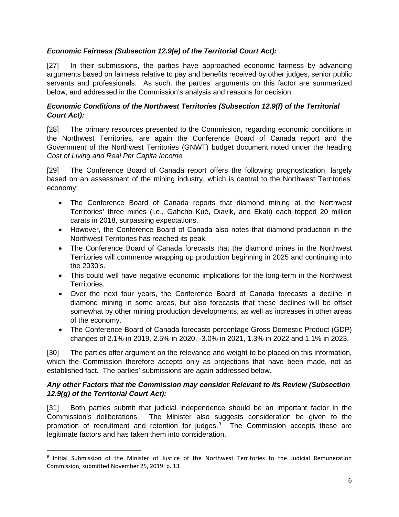#### *Economic Fairness (Subsection 12.9(e) of the Territorial Court Act):*

[27] In their submissions, the parties have approached economic fairness by advancing arguments based on fairness relative to pay and benefits received by other judges, senior public servants and professionals. As such, the parties' arguments on this factor are summarized below, and addressed in the Commission's analysis and reasons for decision.

#### *Economic Conditions of the Northwest Territories (Subsection 12.9(f) of the Territorial Court Act):*

[28] The primary resources presented to the Commission, regarding economic conditions in the Northwest Territories, are again the Conference Board of Canada report and the Government of the Northwest Territories (GNWT) budget document noted under the heading *Cost of Living and Real Per Capita Income.*

[29] The Conference Board of Canada report offers the following prognostication, largely based on an assessment of the mining industry, which is central to the Northwest Territories' economy:

- The Conference Board of Canada reports that diamond mining at the Northwest Territories' three mines (i.e., Gahcho Kué, Diavik, and Ekati) each topped 20 million carats in 2018, surpassing expectations.
- However, the Conference Board of Canada also notes that diamond production in the Northwest Territories has reached its peak.
- The Conference Board of Canada forecasts that the diamond mines in the Northwest Territories will commence wrapping up production beginning in 2025 and continuing into the 2030's.
- This could well have negative economic implications for the long-term in the Northwest Territories.
- Over the next four years, the Conference Board of Canada forecasts a decline in diamond mining in some areas, but also forecasts that these declines will be offset somewhat by other mining production developments, as well as increases in other areas of the economy.
- The Conference Board of Canada forecasts percentage Gross Domestic Product (GDP) changes of 2.1% in 2019, 2.5% in 2020, -3.0% in 2021, 1.3% in 2022 and 1.1% in 2023.

[30] The parties offer argument on the relevance and weight to be placed on this information, which the Commission therefore accepts only as projections that have been made, not as established fact. The parties' submissions are again addressed below.

#### *Any other Factors that the Commission may consider Relevant to its Review (Subsection 12.9(g) of the Territorial Court Act):*

[31] Both parties submit that judicial independence should be an important factor in the Commission's deliberations. The Minister also suggests consideration be given to the promotion of recruitment and retention for judges.<sup>[9](#page-8-0)</sup> The Commission accepts these are legitimate factors and has taken them into consideration.

<span id="page-8-0"></span><sup>9</sup> Initial Submission of the Minister of Justice of the Northwest Territories to the Judicial Remuneration Commission, submitted November 25, 2019: p. 13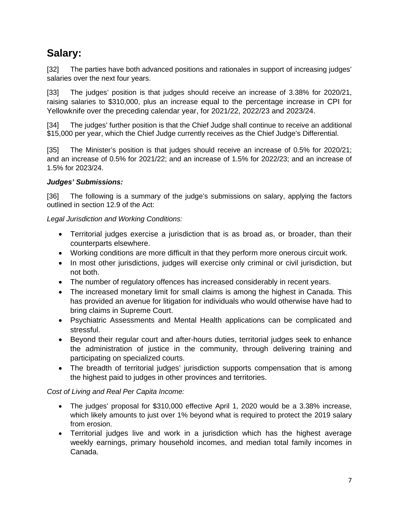## **Salary:**

[32] The parties have both advanced positions and rationales in support of increasing judges' salaries over the next four years.

[33] The judges' position is that judges should receive an increase of 3.38% for 2020/21, raising salaries to \$310,000, plus an increase equal to the percentage increase in CPI for Yellowknife over the preceding calendar year, for 2021/22, 2022/23 and 2023/24.

[34] The judges' further position is that the Chief Judge shall continue to receive an additional \$15,000 per year, which the Chief Judge currently receives as the Chief Judge's Differential.

[35] The Minister's position is that judges should receive an increase of 0.5% for 2020/21; and an increase of 0.5% for 2021/22; and an increase of 1.5% for 2022/23; and an increase of 1.5% for 2023/24.

#### *Judges' Submissions:*

[36] The following is a summary of the judge's submissions on salary, applying the factors outlined in section 12.9 of the Act:

*Legal Jurisdiction and Working Conditions:*

- Territorial judges exercise a jurisdiction that is as broad as, or broader, than their counterparts elsewhere.
- Working conditions are more difficult in that they perform more onerous circuit work.
- In most other jurisdictions, judges will exercise only criminal or civil jurisdiction, but not both.
- The number of regulatory offences has increased considerably in recent years.
- The increased monetary limit for small claims is among the highest in Canada. This has provided an avenue for litigation for individuals who would otherwise have had to bring claims in Supreme Court.
- Psychiatric Assessments and Mental Health applications can be complicated and stressful.
- Beyond their regular court and after-hours duties, territorial judges seek to enhance the administration of justice in the community, through delivering training and participating on specialized courts.
- The breadth of territorial judges' jurisdiction supports compensation that is among the highest paid to judges in other provinces and territories.

#### *Cost of Living and Real Per Capita Income:*

- The judges' proposal for \$310,000 effective April 1, 2020 would be a 3.38% increase, which likely amounts to just over 1% beyond what is required to protect the 2019 salary from erosion.
- Territorial judges live and work in a jurisdiction which has the highest average weekly earnings, primary household incomes, and median total family incomes in Canada.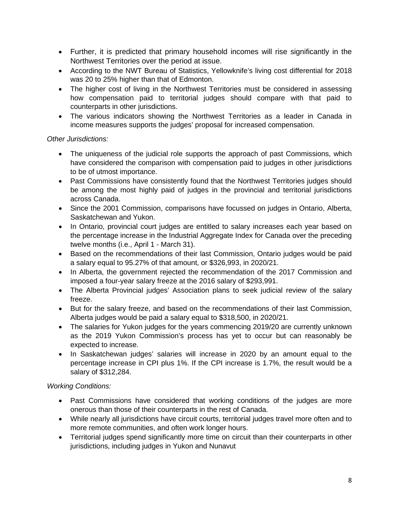- Further, it is predicted that primary household incomes will rise significantly in the Northwest Territories over the period at issue.
- According to the NWT Bureau of Statistics, Yellowknife's living cost differential for 2018 was 20 to 25% higher than that of Edmonton.
- The higher cost of living in the Northwest Territories must be considered in assessing how compensation paid to territorial judges should compare with that paid to counterparts in other jurisdictions.
- The various indicators showing the Northwest Territories as a leader in Canada in income measures supports the judges' proposal for increased compensation.

#### *Other Jurisdictions:*

- The uniqueness of the judicial role supports the approach of past Commissions, which have considered the comparison with compensation paid to judges in other jurisdictions to be of utmost importance.
- Past Commissions have consistently found that the Northwest Territories judges should be among the most highly paid of judges in the provincial and territorial jurisdictions across Canada.
- Since the 2001 Commission, comparisons have focussed on judges in Ontario, Alberta, Saskatchewan and Yukon.
- In Ontario, provincial court judges are entitled to salary increases each year based on the percentage increase in the Industrial Aggregate Index for Canada over the preceding twelve months (i.e., April 1 - March 31).
- Based on the recommendations of their last Commission, Ontario judges would be paid a salary equal to 95.27% of that amount, or \$326,993, in 2020/21.
- In Alberta, the government rejected the recommendation of the 2017 Commission and imposed a four-year salary freeze at the 2016 salary of \$293,991.
- The Alberta Provincial judges' Association plans to seek judicial review of the salary freeze.
- But for the salary freeze, and based on the recommendations of their last Commission, Alberta judges would be paid a salary equal to \$318,500, in 2020/21.
- The salaries for Yukon judges for the years commencing 2019/20 are currently unknown as the 2019 Yukon Commission's process has yet to occur but can reasonably be expected to increase.
- In Saskatchewan judges' salaries will increase in 2020 by an amount equal to the percentage increase in CPI plus 1%. If the CPI increase is 1.7%, the result would be a salary of \$312,284.

#### *Working Conditions:*

- Past Commissions have considered that working conditions of the judges are more onerous than those of their counterparts in the rest of Canada.
- While nearly all jurisdictions have circuit courts, territorial judges travel more often and to more remote communities, and often work longer hours.
- Territorial judges spend significantly more time on circuit than their counterparts in other jurisdictions, including judges in Yukon and Nunavut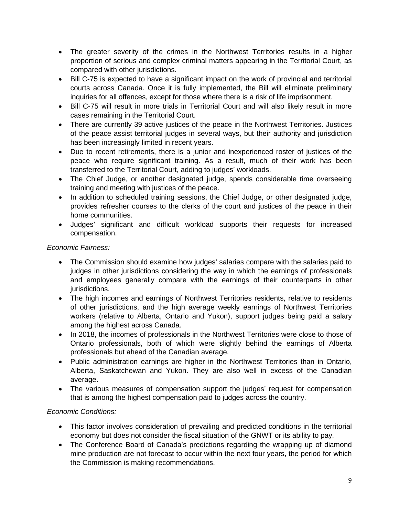- The greater severity of the crimes in the Northwest Territories results in a higher proportion of serious and complex criminal matters appearing in the Territorial Court, as compared with other jurisdictions.
- Bill C-75 is expected to have a significant impact on the work of provincial and territorial courts across Canada. Once it is fully implemented, the Bill will eliminate preliminary inquiries for all offences, except for those where there is a risk of life imprisonment.
- Bill C-75 will result in more trials in Territorial Court and will also likely result in more cases remaining in the Territorial Court.
- There are currently 39 active justices of the peace in the Northwest Territories. Justices of the peace assist territorial judges in several ways, but their authority and jurisdiction has been increasingly limited in recent years.
- Due to recent retirements, there is a junior and inexperienced roster of justices of the peace who require significant training. As a result, much of their work has been transferred to the Territorial Court, adding to judges' workloads.
- The Chief Judge, or another designated judge, spends considerable time overseeing training and meeting with justices of the peace.
- In addition to scheduled training sessions, the Chief Judge, or other designated judge, provides refresher courses to the clerks of the court and justices of the peace in their home communities.
- Judges' significant and difficult workload supports their requests for increased compensation.

#### *Economic Fairness:*

- The Commission should examine how judges' salaries compare with the salaries paid to judges in other jurisdictions considering the way in which the earnings of professionals and employees generally compare with the earnings of their counterparts in other jurisdictions.
- The high incomes and earnings of Northwest Territories residents, relative to residents of other jurisdictions, and the high average weekly earnings of Northwest Territories workers (relative to Alberta, Ontario and Yukon), support judges being paid a salary among the highest across Canada.
- In 2018, the incomes of professionals in the Northwest Territories were close to those of Ontario professionals, both of which were slightly behind the earnings of Alberta professionals but ahead of the Canadian average.
- Public administration earnings are higher in the Northwest Territories than in Ontario, Alberta, Saskatchewan and Yukon. They are also well in excess of the Canadian average.
- The various measures of compensation support the judges' request for compensation that is among the highest compensation paid to judges across the country.

#### *Economic Conditions:*

- This factor involves consideration of prevailing and predicted conditions in the territorial economy but does not consider the fiscal situation of the GNWT or its ability to pay.
- The Conference Board of Canada's predictions regarding the wrapping up of diamond mine production are not forecast to occur within the next four years, the period for which the Commission is making recommendations.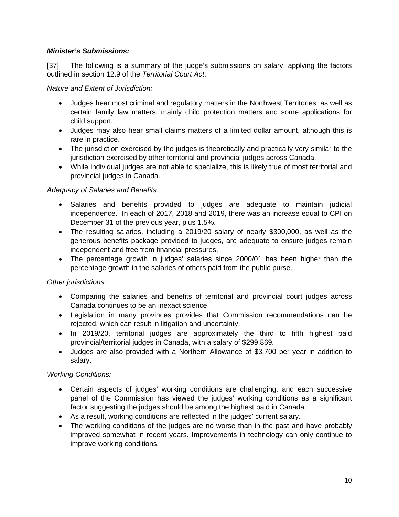#### *Minister's Submissions:*

[37] The following is a summary of the judge's submissions on salary, applying the factors outlined in section 12.9 of the *Territorial Court Act*:

*Nature and Extent of Jurisdiction:*

- Judges hear most criminal and regulatory matters in the Northwest Territories, as well as certain family law matters, mainly child protection matters and some applications for child support.
- Judges may also hear small claims matters of a limited dollar amount, although this is rare in practice.
- The jurisdiction exercised by the judges is theoretically and practically very similar to the jurisdiction exercised by other territorial and provincial judges across Canada.
- While individual judges are not able to specialize, this is likely true of most territorial and provincial judges in Canada.

#### *Adequacy of Salaries and Benefits:*

- Salaries and benefits provided to judges are adequate to maintain judicial independence. In each of 2017, 2018 and 2019, there was an increase equal to CPI on December 31 of the previous year, plus 1.5%.
- The resulting salaries, including a 2019/20 salary of nearly \$300,000, as well as the generous benefits package provided to judges, are adequate to ensure judges remain independent and free from financial pressures.
- The percentage growth in judges' salaries since 2000/01 has been higher than the percentage growth in the salaries of others paid from the public purse.

#### *Other jurisdictions:*

- Comparing the salaries and benefits of territorial and provincial court judges across Canada continues to be an inexact science.
- Legislation in many provinces provides that Commission recommendations can be rejected, which can result in litigation and uncertainty.
- In 2019/20, territorial judges are approximately the third to fifth highest paid provincial/territorial judges in Canada, with a salary of \$299,869.
- Judges are also provided with a Northern Allowance of \$3,700 per year in addition to salary.

#### *Working Conditions:*

- Certain aspects of judges' working conditions are challenging, and each successive panel of the Commission has viewed the judges' working conditions as a significant factor suggesting the judges should be among the highest paid in Canada.
- As a result, working conditions are reflected in the judges' current salary.
- The working conditions of the judges are no worse than in the past and have probably improved somewhat in recent years. Improvements in technology can only continue to improve working conditions.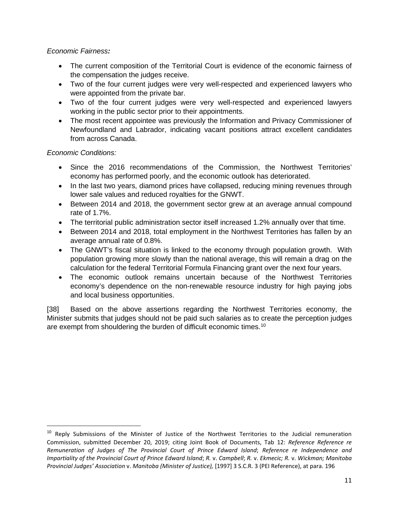#### *Economic Fairness:*

- The current composition of the Territorial Court is evidence of the economic fairness of the compensation the judges receive.
- Two of the four current judges were very well-respected and experienced lawyers who were appointed from the private bar.
- Two of the four current judges were very well-respected and experienced lawyers working in the public sector prior to their appointments.
- The most recent appointee was previously the Information and Privacy Commissioner of Newfoundland and Labrador, indicating vacant positions attract excellent candidates from across Canada.

#### *Economic Conditions:*

- Since the 2016 recommendations of the Commission, the Northwest Territories' economy has performed poorly, and the economic outlook has deteriorated.
- In the last two years, diamond prices have collapsed, reducing mining revenues through lower sale values and reduced royalties for the GNWT.
- Between 2014 and 2018, the government sector grew at an average annual compound rate of 1.7%.
- The territorial public administration sector itself increased 1.2% annually over that time.
- Between 2014 and 2018, total employment in the Northwest Territories has fallen by an average annual rate of 0.8%.
- The GNWT's fiscal situation is linked to the economy through population growth. With population growing more slowly than the national average, this will remain a drag on the calculation for the federal Territorial Formula Financing grant over the next four years.
- The economic outlook remains uncertain because of the Northwest Territories economy's dependence on the non-renewable resource industry for high paying jobs and local business opportunities.

[38] Based on the above assertions regarding the Northwest Territories economy, the Minister submits that judges should not be paid such salaries as to create the perception judges are exempt from shouldering the burden of difficult economic times.<sup>[10](#page-13-0)</sup>

<span id="page-13-0"></span><sup>&</sup>lt;sup>10</sup> Reply Submissions of the Minister of Justice of the Northwest Territories to the Judicial remuneration Commission, submitted December 20, 2019; citing Joint Book of Documents, Tab 12: *Reference Reference re Remuneration of Judges of The Provincial Court of Prince Edward Island*; *Reference re Independence and Impartiality of the Provincial Court of Prince Edward Island*; *R.* v. *Campbell*; *R.* v. *Ekmecic; R.* v. *Wickman; Manitoba Provincial Judges' Association* v. *Manitoba (Minister of Justice),* [1997] 3 S.C.R. 3 (PEI Reference), at para. 196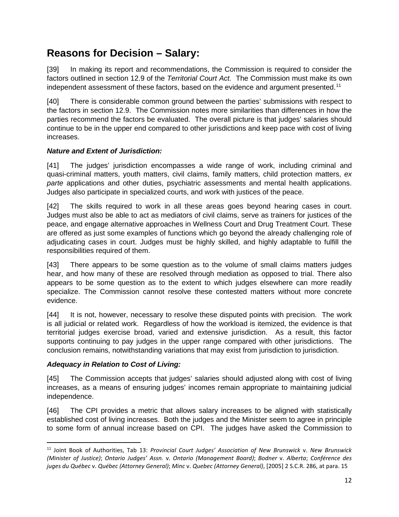### **Reasons for Decision – Salary:**

[39] In making its report and recommendations, the Commission is required to consider the factors outlined in section 12.9 of the *Territorial Court Act.* The Commission must make its own independent assessment of these factors, based on the evidence and argument presented.<sup>[11](#page-14-0)</sup>

[40] There is considerable common ground between the parties' submissions with respect to the factors in section 12.9. The Commission notes more similarities than differences in how the parties recommend the factors be evaluated. The overall picture is that judges' salaries should continue to be in the upper end compared to other jurisdictions and keep pace with cost of living increases.

#### *Nature and Extent of Jurisdiction:*

[41] The judges' jurisdiction encompasses a wide range of work, including criminal and quasi-criminal matters, youth matters, civil claims, family matters, child protection matters, *ex parte* applications and other duties, psychiatric assessments and mental health applications. Judges also participate in specialized courts, and work with justices of the peace.

[42] The skills required to work in all these areas goes beyond hearing cases in court. Judges must also be able to act as mediators of civil claims, serve as trainers for justices of the peace, and engage alternative approaches in Wellness Court and Drug Treatment Court. These are offered as just some examples of functions which go beyond the already challenging role of adjudicating cases in court. Judges must be highly skilled, and highly adaptable to fulfill the responsibilities required of them.

[43] There appears to be some question as to the volume of small claims matters judges hear, and how many of these are resolved through mediation as opposed to trial. There also appears to be some question as to the extent to which judges elsewhere can more readily specialize. The Commission cannot resolve these contested matters without more concrete evidence.

[44] It is not, however, necessary to resolve these disputed points with precision. The work is all judicial or related work. Regardless of how the workload is itemized, the evidence is that territorial judges exercise broad, varied and extensive jurisdiction. As a result, this factor supports continuing to pay judges in the upper range compared with other jurisdictions. The conclusion remains, notwithstanding variations that may exist from jurisdiction to jurisdiction.

#### *Adequacy in Relation to Cost of Living:*

[45] The Commission accepts that judges' salaries should adjusted along with cost of living increases, as a means of ensuring judges' incomes remain appropriate to maintaining judicial independence.

[46] The CPI provides a metric that allows salary increases to be aligned with statistically established cost of living increases. Both the judges and the Minister seem to agree in principle to some form of annual increase based on CPI. The judges have asked the Commission to

<span id="page-14-0"></span><sup>11</sup> Joint Book of Authorities, Tab 13: *Provincial Court Judges' Association of New Brunswick* v. *New Brunswick (Minister of Justice)*; *Ontario Judges' Assn.* v. *Ontario (Management Board)*; *Bodner* v. *Alberta*; *Conférence des juges du Québec* v. *Québec (Attorney General)*; *Minc* v. *Quebec (Attorney General)*, [2005] 2 S.C.R. 286, at para. 15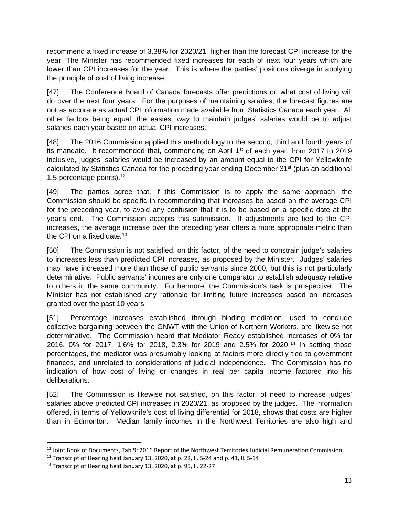recommend a fixed increase of 3.38% for 2020/21, higher than the forecast CPI increase for the year. The Minister has recommended fixed increases for each of next four years which are lower than CPI increases for the year. This is where the parties' positions diverge in applying the principle of cost of living increase.

[47] The Conference Board of Canada forecasts offer predictions on what cost of living will do over the next four years. For the purposes of maintaining salaries, the forecast figures are not as accurate as actual CPI information made available from Statistics Canada each year. All other factors being equal, the easiest way to maintain judges' salaries would be to adjust salaries each year based on actual CPI increases.

[48] The 2016 Commission applied this methodology to the second, third and fourth years of its mandate. It recommended that, commencing on April 1<sup>st</sup> of each year, from 2017 to 2019 inclusive, judges' salaries would be increased by an amount equal to the CPI for Yellowknife calculated by Statistics Canada for the preceding year ending December 31<sup>st</sup> (plus an additional 1.5 percentage points).<sup>12</sup>

[49] The parties agree that, if this Commission is to apply the same approach, the Commission should be specific in recommending that increases be based on the average CPI for the preceding year, to avoid any confusion that it is to be based on a specific date at the year's end. The Commission accepts this submission. If adjustments are tied to the CPI increases, the average increase over the preceding year offers a more appropriate metric than the CPI on a fixed date.<sup>13</sup>

[50] The Commission is not satisfied, on this factor, of the need to constrain judge's salaries to increases less than predicted CPI increases, as proposed by the Minister. Judges' salaries may have increased more than those of public servants since 2000, but this is not particularly determinative. Public servants' incomes are only one comparator to establish adequacy relative to others in the same community. Furthermore, the Commission's task is prospective. The Minister has not established any rationale for limiting future increases based on increases granted over the past 10 years.

[51] Percentage increases established through binding mediation, used to conclude collective bargaining between the GNWT with the Union of Northern Workers, are likewise not determinative. The Commission heard that Mediator Ready established increases of 0% for 2016, 0% for 2017, 1.6% for 2018, 2.3% for 2019 and 2.5% for 2020,<sup>[14](#page-15-2)</sup> In setting those percentages, the mediator was presumably looking at factors more directly tied to government finances, and unrelated to considerations of judicial independence. The Commission has no indication of how cost of living or changes in real per capita income factored into his deliberations.

[52] The Commission is likewise not satisfied, on this factor, of need to increase judges' salaries above predicted CPI increases in 2020/21, as proposed by the judges. The information offered, in terms of Yellowknife's cost of living differential for 2018, shows that costs are higher than in Edmonton. Median family incomes in the Northwest Territories are also high and

<span id="page-15-0"></span><sup>12</sup> Joint Book of Documents, Tab 9: 2016 Report of the Northwest Territories Judicial Remuneration Commission

<span id="page-15-1"></span><sup>&</sup>lt;sup>13</sup> Transcript of Hearing held January 13, 2020, at p. 22, ll. 5-24 and p. 41, ll. 5-14

<span id="page-15-2"></span><sup>14</sup> Transcript of Hearing held January 13, 2020, at p. 95, ll. 22-27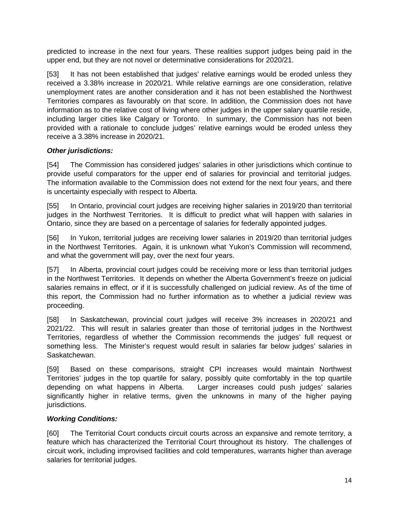predicted to increase in the next four years. These realities support judges being paid in the upper end, but they are not novel or determinative considerations for 2020/21.

[53] It has not been established that judges' relative earnings would be eroded unless they received a 3.38% increase in 2020/21. While relative earnings are one consideration, relative unemployment rates are another consideration and it has not been established the Northwest Territories compares as favourably on that score. In addition, the Commission does not have information as to the relative cost of living where other judges in the upper salary quartile reside, including larger cities like Calgary or Toronto. In summary, the Commission has not been provided with a rationale to conclude judges' relative earnings would be eroded unless they receive a 3.38% increase in 2020/21.

#### *Other jurisdictions:*

[54] The Commission has considered judges' salaries in other jurisdictions which continue to provide useful comparators for the upper end of salaries for provincial and territorial judges. The information available to the Commission does not extend for the next four years, and there is uncertainty especially with respect to Alberta.

[55] In Ontario, provincial court judges are receiving higher salaries in 2019/20 than territorial judges in the Northwest Territories. It is difficult to predict what will happen with salaries in Ontario, since they are based on a percentage of salaries for federally appointed judges.

[56] In Yukon, territorial judges are receiving lower salaries in 2019/20 than territorial judges in the Northwest Territories. Again, it is unknown what Yukon's Commission will recommend, and what the government will pay, over the next four years.

[57] In Alberta, provincial court judges could be receiving more or less than territorial judges in the Northwest Territories. It depends on whether the Alberta Government's freeze on judicial salaries remains in effect, or if it is successfully challenged on judicial review. As of the time of this report, the Commission had no further information as to whether a judicial review was proceeding.

[58] In Saskatchewan, provincial court judges will receive 3% increases in 2020/21 and 2021/22. This will result in salaries greater than those of territorial judges in the Northwest Territories, regardless of whether the Commission recommends the judges' full request or something less. The Minister's request would result in salaries far below judges' salaries in Saskatchewan.

[59] Based on these comparisons, straight CPI increases would maintain Northwest Territories' judges in the top quartile for salary, possibly quite comfortably in the top quartile depending on what happens in Alberta. Larger increases could push judges' salaries significantly higher in relative terms, given the unknowns in many of the higher paying jurisdictions.

#### *Working Conditions:*

[60] The Territorial Court conducts circuit courts across an expansive and remote territory, a feature which has characterized the Territorial Court throughout its history. The challenges of circuit work, including improvised facilities and cold temperatures, warrants higher than average salaries for territorial judges.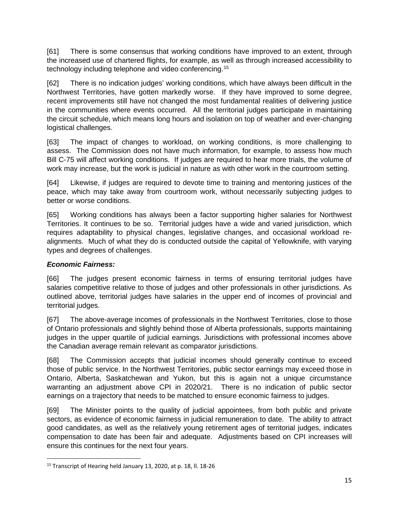[61] There is some consensus that working conditions have improved to an extent, through the increased use of chartered flights, for example, as well as through increased accessibility to technology including telephone and video conferencing.[15](#page-17-0)

[62] There is no indication judges' working conditions, which have always been difficult in the Northwest Territories, have gotten markedly worse. If they have improved to some degree, recent improvements still have not changed the most fundamental realities of delivering justice in the communities where events occurred. All the territorial judges participate in maintaining the circuit schedule, which means long hours and isolation on top of weather and ever-changing logistical challenges.

[63] The impact of changes to workload, on working conditions, is more challenging to assess. The Commission does not have much information, for example, to assess how much Bill C-75 will affect working conditions. If judges are required to hear more trials, the volume of work may increase, but the work is judicial in nature as with other work in the courtroom setting.

[64] Likewise, if judges are required to devote time to training and mentoring justices of the peace, which may take away from courtroom work, without necessarily subjecting judges to better or worse conditions.

[65] Working conditions has always been a factor supporting higher salaries for Northwest Territories. It continues to be so. Territorial judges have a wide and varied jurisdiction, which requires adaptability to physical changes, legislative changes, and occasional workload realignments. Much of what they do is conducted outside the capital of Yellowknife, with varying types and degrees of challenges.

#### *Economic Fairness:*

[66] The judges present economic fairness in terms of ensuring territorial judges have salaries competitive relative to those of judges and other professionals in other jurisdictions. As outlined above, territorial judges have salaries in the upper end of incomes of provincial and territorial judges.

[67] The above-average incomes of professionals in the Northwest Territories, close to those of Ontario professionals and slightly behind those of Alberta professionals, supports maintaining judges in the upper quartile of judicial earnings. Jurisdictions with professional incomes above the Canadian average remain relevant as comparator jurisdictions.

[68] The Commission accepts that judicial incomes should generally continue to exceed those of public service. In the Northwest Territories, public sector earnings may exceed those in Ontario, Alberta, Saskatchewan and Yukon, but this is again not a unique circumstance warranting an adjustment above CPI in 2020/21. There is no indication of public sector earnings on a trajectory that needs to be matched to ensure economic fairness to judges.

[69] The Minister points to the quality of judicial appointees, from both public and private sectors, as evidence of economic fairness in judicial remuneration to date. The ability to attract good candidates, as well as the relatively young retirement ages of territorial judges, indicates compensation to date has been fair and adequate. Adjustments based on CPI increases will ensure this continues for the next four years.

<span id="page-17-0"></span><sup>&</sup>lt;sup>15</sup> Transcript of Hearing held January 13, 2020, at p. 18, ll. 18-26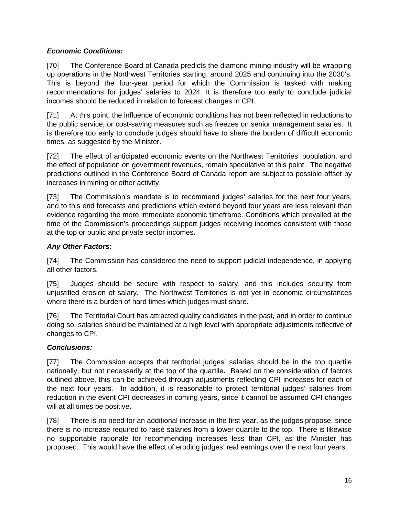#### *Economic Conditions:*

[70] The Conference Board of Canada predicts the diamond mining industry will be wrapping up operations in the Northwest Territories starting, around 2025 and continuing into the 2030's. This is beyond the four-year period for which the Commission is tasked with making recommendations for judges' salaries to 2024. It is therefore too early to conclude judicial incomes should be reduced in relation to forecast changes in CPI.

[71] At this point, the influence of economic conditions has not been reflected in reductions to the public service, or cost-saving measures such as freezes on senior management salaries. It is therefore too early to conclude judges should have to share the burden of difficult economic times, as suggested by the Minister.

[72] The effect of anticipated economic events on the Northwest Territories' population, and the effect of population on government revenues, remain speculative at this point. The negative predictions outlined in the Conference Board of Canada report are subject to possible offset by increases in mining or other activity.

[73] The Commission's mandate is to recommend judges' salaries for the next four years, and to this end forecasts and predictions which extend beyond four years are less relevant than evidence regarding the more immediate economic timeframe. Conditions which prevailed at the time of the Commission's proceedings support judges receiving incomes consistent with those at the top or public and private sector incomes.

#### *Any Other Factors:*

[74] The Commission has considered the need to support judicial independence, in applying all other factors.

[75] Judges should be secure with respect to salary, and this includes security from unjustified erosion of salary. The Northwest Territories is not yet in economic circumstances where there is a burden of hard times which judges must share.

[76] The Territorial Court has attracted quality candidates in the past, and in order to continue doing so, salaries should be maintained at a high level with appropriate adjustments reflective of changes to CPI.

#### *Conclusions:*

[77] The Commission accepts that territorial judges' salaries should be in the top quartile nationally, but not necessarily at the top of the quartile*.* Based on the consideration of factors outlined above, this can be achieved through adjustments reflecting CPI increases for each of the next four years. In addition, it is reasonable to protect territorial judges' salaries from reduction in the event CPI decreases in coming years, since it cannot be assumed CPI changes will at all times be positive.

[78] There is no need for an additional increase in the first year, as the judges propose, since there is no increase required to raise salaries from a lower quartile to the top. There is likewise no supportable rationale for recommending increases less than CPI, as the Minister has proposed. This would have the effect of eroding judges' real earnings over the next four years.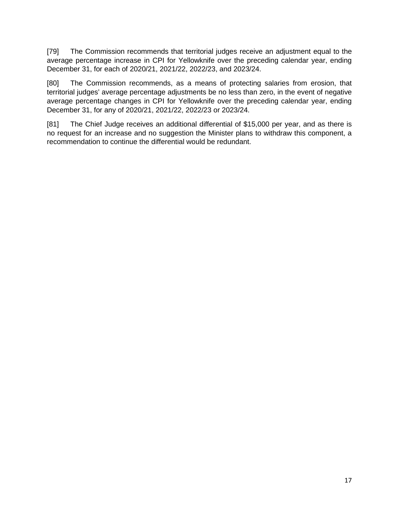[79] The Commission recommends that territorial judges receive an adjustment equal to the average percentage increase in CPI for Yellowknife over the preceding calendar year, ending December 31, for each of 2020/21, 2021/22, 2022/23, and 2023/24.

[80] The Commission recommends, as a means of protecting salaries from erosion, that territorial judges' average percentage adjustments be no less than zero, in the event of negative average percentage changes in CPI for Yellowknife over the preceding calendar year, ending December 31, for any of 2020/21, 2021/22, 2022/23 or 2023/24.

[81] The Chief Judge receives an additional differential of \$15,000 per year, and as there is no request for an increase and no suggestion the Minister plans to withdraw this component, a recommendation to continue the differential would be redundant.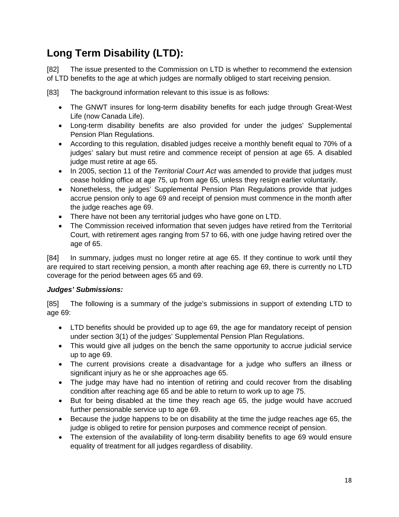## **Long Term Disability (LTD):**

[82] The issue presented to the Commission on LTD is whether to recommend the extension of LTD benefits to the age at which judges are normally obliged to start receiving pension.

[83] The background information relevant to this issue is as follows:

- The GNWT insures for long-term disability benefits for each judge through Great-West Life (now Canada Life).
- Long-term disability benefits are also provided for under the judges' Supplemental Pension Plan Regulations.
- According to this regulation, disabled judges receive a monthly benefit equal to 70% of a judges' salary but must retire and commence receipt of pension at age 65. A disabled judge must retire at age 65.
- In 2005, section 11 of the *Territorial Court Act* was amended to provide that judges must cease holding office at age 75, up from age 65, unless they resign earlier voluntarily.
- Nonetheless, the judges' Supplemental Pension Plan Regulations provide that judges accrue pension only to age 69 and receipt of pension must commence in the month after the judge reaches age 69.
- There have not been any territorial judges who have gone on LTD.
- The Commission received information that seven judges have retired from the Territorial Court, with retirement ages ranging from 57 to 66, with one judge having retired over the age of 65.

[84] In summary, judges must no longer retire at age 65. If they continue to work until they are required to start receiving pension, a month after reaching age 69, there is currently no LTD coverage for the period between ages 65 and 69.

#### *Judges' Submissions:*

[85] The following is a summary of the judge's submissions in support of extending LTD to age 69:

- LTD benefits should be provided up to age 69, the age for mandatory receipt of pension under section 3(1) of the judges' Supplemental Pension Plan Regulations.
- This would give all judges on the bench the same opportunity to accrue judicial service up to age 69.
- The current provisions create a disadvantage for a judge who suffers an illness or significant injury as he or she approaches age 65.
- The judge may have had no intention of retiring and could recover from the disabling condition after reaching age 65 and be able to return to work up to age 75.
- But for being disabled at the time they reach age 65, the judge would have accrued further pensionable service up to age 69.
- Because the judge happens to be on disability at the time the judge reaches age 65, the judge is obliged to retire for pension purposes and commence receipt of pension.
- The extension of the availability of long-term disability benefits to age 69 would ensure equality of treatment for all judges regardless of disability.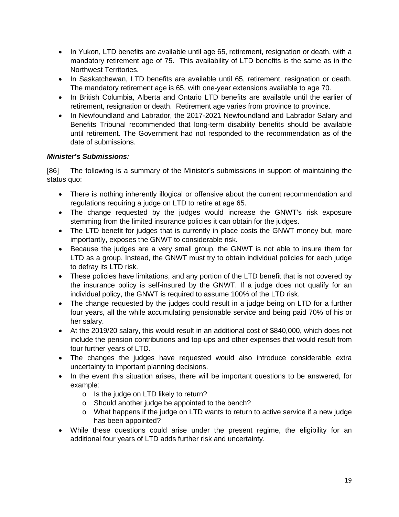- In Yukon, LTD benefits are available until age 65, retirement, resignation or death, with a mandatory retirement age of 75. This availability of LTD benefits is the same as in the Northwest Territories.
- In Saskatchewan, LTD benefits are available until 65, retirement, resignation or death. The mandatory retirement age is 65, with one-year extensions available to age 70.
- In British Columbia, Alberta and Ontario LTD benefits are available until the earlier of retirement, resignation or death. Retirement age varies from province to province.
- In Newfoundland and Labrador, the 2017-2021 Newfoundland and Labrador Salary and Benefits Tribunal recommended that long-term disability benefits should be available until retirement. The Government had not responded to the recommendation as of the date of submissions.

#### *Minister's Submissions:*

[86] The following is a summary of the Minister's submissions in support of maintaining the status quo:

- There is nothing inherently illogical or offensive about the current recommendation and regulations requiring a judge on LTD to retire at age 65.
- The change requested by the judges would increase the GNWT's risk exposure stemming from the limited insurance policies it can obtain for the judges.
- The LTD benefit for judges that is currently in place costs the GNWT money but, more importantly, exposes the GNWT to considerable risk.
- Because the judges are a very small group, the GNWT is not able to insure them for LTD as a group. Instead, the GNWT must try to obtain individual policies for each judge to defray its LTD risk.
- These policies have limitations, and any portion of the LTD benefit that is not covered by the insurance policy is self-insured by the GNWT. If a judge does not qualify for an individual policy, the GNWT is required to assume 100% of the LTD risk.
- The change requested by the judges could result in a judge being on LTD for a further four years, all the while accumulating pensionable service and being paid 70% of his or her salary.
- At the 2019/20 salary, this would result in an additional cost of \$840,000, which does not include the pension contributions and top-ups and other expenses that would result from four further years of LTD.
- The changes the judges have requested would also introduce considerable extra uncertainty to important planning decisions.
- In the event this situation arises, there will be important questions to be answered, for example:
	- o Is the judge on LTD likely to return?
	- o Should another judge be appointed to the bench?
	- o What happens if the judge on LTD wants to return to active service if a new judge has been appointed?
- While these questions could arise under the present regime, the eligibility for an additional four years of LTD adds further risk and uncertainty.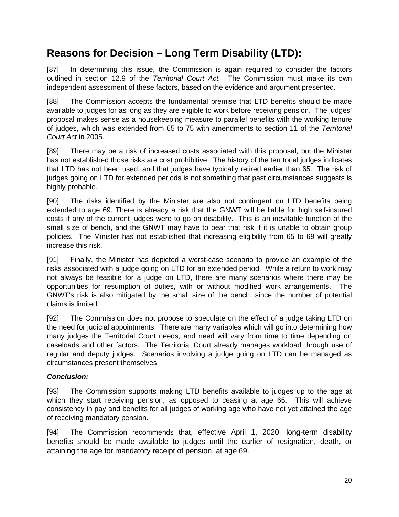### **Reasons for Decision – Long Term Disability (LTD):**

[87] In determining this issue, the Commission is again required to consider the factors outlined in section 12.9 of the *Territorial Court Act.* The Commission must make its own independent assessment of these factors, based on the evidence and argument presented.

[88] The Commission accepts the fundamental premise that LTD benefits should be made available to judges for as long as they are eligible to work before receiving pension. The judges' proposal makes sense as a housekeeping measure to parallel benefits with the working tenure of judges, which was extended from 65 to 75 with amendments to section 11 of the *Territorial Court Act* in 2005.

[89] There may be a risk of increased costs associated with this proposal, but the Minister has not established those risks are cost prohibitive. The history of the territorial judges indicates that LTD has not been used, and that judges have typically retired earlier than 65. The risk of judges going on LTD for extended periods is not something that past circumstances suggests is highly probable.

[90] The risks identified by the Minister are also not contingent on LTD benefits being extended to age 69. There is already a risk that the GNWT will be liable for high self-insured costs if any of the current judges were to go on disability. This is an inevitable function of the small size of bench, and the GNWT may have to bear that risk if it is unable to obtain group policies. The Minister has not established that increasing eligibility from 65 to 69 will greatly increase this risk.

[91] Finally, the Minister has depicted a worst-case scenario to provide an example of the risks associated with a judge going on LTD for an extended period. While a return to work may not always be feasible for a judge on LTD, there are many scenarios where there may be opportunities for resumption of duties, with or without modified work arrangements. The GNWT's risk is also mitigated by the small size of the bench, since the number of potential claims is limited.

[92] The Commission does not propose to speculate on the effect of a judge taking LTD on the need for judicial appointments. There are many variables which will go into determining how many judges the Territorial Court needs, and need will vary from time to time depending on caseloads and other factors. The Territorial Court already manages workload through use of regular and deputy judges. Scenarios involving a judge going on LTD can be managed as circumstances present themselves.

#### *Conclusion:*

[93] The Commission supports making LTD benefits available to judges up to the age at which they start receiving pension, as opposed to ceasing at age 65. This will achieve consistency in pay and benefits for all judges of working age who have not yet attained the age of receiving mandatory pension.

[94] The Commission recommends that, effective April 1, 2020, long-term disability benefits should be made available to judges until the earlier of resignation, death, or attaining the age for mandatory receipt of pension, at age 69.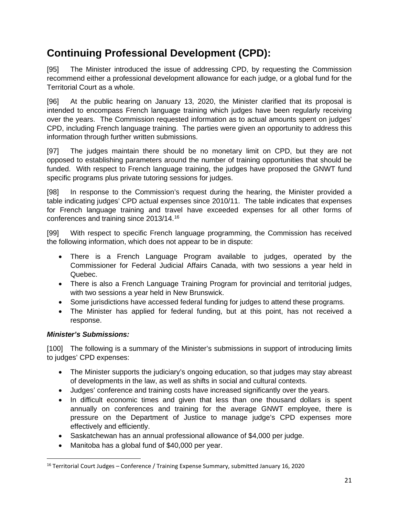### **Continuing Professional Development (CPD):**

[95] The Minister introduced the issue of addressing CPD, by requesting the Commission recommend either a professional development allowance for each judge, or a global fund for the Territorial Court as a whole.

[96] At the public hearing on January 13, 2020, the Minister clarified that its proposal is intended to encompass French language training which judges have been regularly receiving over the years. The Commission requested information as to actual amounts spent on judges' CPD, including French language training. The parties were given an opportunity to address this information through further written submissions.

[97] The judges maintain there should be no monetary limit on CPD, but they are not opposed to establishing parameters around the number of training opportunities that should be funded. With respect to French language training, the judges have proposed the GNWT fund specific programs plus private tutoring sessions for judges.

[98] In response to the Commission's request during the hearing, the Minister provided a table indicating judges' CPD actual expenses since 2010/11. The table indicates that expenses for French language training and travel have exceeded expenses for all other forms of conferences and training since 2013/14.[16](#page-23-0)

[99] With respect to specific French language programming, the Commission has received the following information, which does not appear to be in dispute:

- There is a French Language Program available to judges, operated by the Commissioner for Federal Judicial Affairs Canada, with two sessions a year held in Quebec.
- There is also a French Language Training Program for provincial and territorial judges, with two sessions a year held in New Brunswick.
- Some jurisdictions have accessed federal funding for judges to attend these programs.
- The Minister has applied for federal funding, but at this point, has not received a response.

#### *Minister's Submissions:*

[100] The following is a summary of the Minister's submissions in support of introducing limits to judges' CPD expenses:

- The Minister supports the judiciary's ongoing education, so that judges may stay abreast of developments in the law, as well as shifts in social and cultural contexts.
- Judges' conference and training costs have increased significantly over the years.
- In difficult economic times and given that less than one thousand dollars is spent annually on conferences and training for the average GNWT employee, there is pressure on the Department of Justice to manage judge's CPD expenses more effectively and efficiently.
- Saskatchewan has an annual professional allowance of \$4,000 per judge.
- Manitoba has a global fund of \$40,000 per year.

<span id="page-23-0"></span> $16$  Territorial Court Judges – Conference / Training Expense Summary, submitted January 16, 2020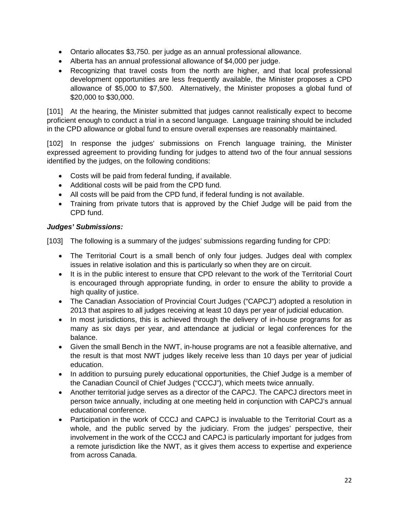- Ontario allocates \$3,750. per judge as an annual professional allowance.
- Alberta has an annual professional allowance of \$4,000 per judge.
- Recognizing that travel costs from the north are higher, and that local professional development opportunities are less frequently available, the Minister proposes a CPD allowance of \$5,000 to \$7,500. Alternatively, the Minister proposes a global fund of \$20,000 to \$30,000.

[101] At the hearing, the Minister submitted that judges cannot realistically expect to become proficient enough to conduct a trial in a second language. Language training should be included in the CPD allowance or global fund to ensure overall expenses are reasonably maintained.

[102] In response the judges' submissions on French language training, the Minister expressed agreement to providing funding for judges to attend two of the four annual sessions identified by the judges, on the following conditions:

- Costs will be paid from federal funding, if available.
- Additional costs will be paid from the CPD fund.
- All costs will be paid from the CPD fund, if federal funding is not available.
- Training from private tutors that is approved by the Chief Judge will be paid from the CPD fund.

#### *Judges' Submissions:*

[103] The following is a summary of the judges' submissions regarding funding for CPD:

- The Territorial Court is a small bench of only four judges. Judges deal with complex issues in relative isolation and this is particularly so when they are on circuit.
- It is in the public interest to ensure that CPD relevant to the work of the Territorial Court is encouraged through appropriate funding, in order to ensure the ability to provide a high quality of justice.
- The Canadian Association of Provincial Court Judges ("CAPCJ") adopted a resolution in 2013 that aspires to all judges receiving at least 10 days per year of judicial education.
- In most jurisdictions, this is achieved through the delivery of in-house programs for as many as six days per year, and attendance at judicial or legal conferences for the balance.
- Given the small Bench in the NWT, in-house programs are not a feasible alternative, and the result is that most NWT judges likely receive less than 10 days per year of judicial education.
- In addition to pursuing purely educational opportunities, the Chief Judge is a member of the Canadian Council of Chief Judges ("CCCJ"), which meets twice annually.
- Another territorial judge serves as a director of the CAPCJ. The CAPCJ directors meet in person twice annually, including at one meeting held in conjunction with CAPCJ's annual educational conference.
- Participation in the work of CCCJ and CAPCJ is invaluable to the Territorial Court as a whole, and the public served by the judiciary. From the judges' perspective, their involvement in the work of the CCCJ and CAPCJ is particularly important for judges from a remote jurisdiction like the NWT, as it gives them access to expertise and experience from across Canada.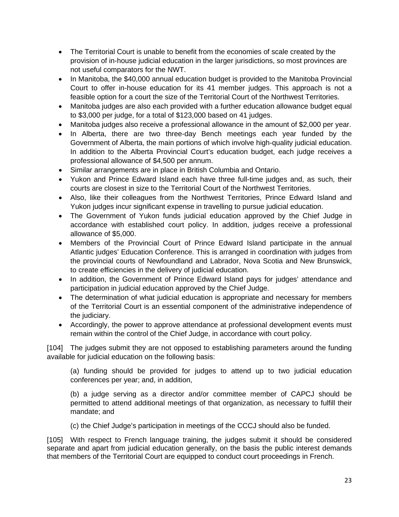- The Territorial Court is unable to benefit from the economies of scale created by the provision of in-house judicial education in the larger jurisdictions, so most provinces are not useful comparators for the NWT.
- In Manitoba, the \$40,000 annual education budget is provided to the Manitoba Provincial Court to offer in-house education for its 41 member judges. This approach is not a feasible option for a court the size of the Territorial Court of the Northwest Territories.
- Manitoba judges are also each provided with a further education allowance budget equal to \$3,000 per judge, for a total of \$123,000 based on 41 judges.
- Manitoba judges also receive a professional allowance in the amount of \$2,000 per year.
- In Alberta, there are two three-day Bench meetings each year funded by the Government of Alberta, the main portions of which involve high-quality judicial education. In addition to the Alberta Provincial Court's education budget, each judge receives a professional allowance of \$4,500 per annum.
- Similar arrangements are in place in British Columbia and Ontario.
- Yukon and Prince Edward Island each have three full-time judges and, as such, their courts are closest in size to the Territorial Court of the Northwest Territories.
- Also, like their colleagues from the Northwest Territories, Prince Edward Island and Yukon judges incur significant expense in travelling to pursue judicial education.
- The Government of Yukon funds judicial education approved by the Chief Judge in accordance with established court policy. In addition, judges receive a professional allowance of \$5,000.
- Members of the Provincial Court of Prince Edward Island participate in the annual Atlantic judges' Education Conference. This is arranged in coordination with judges from the provincial courts of Newfoundland and Labrador, Nova Scotia and New Brunswick, to create efficiencies in the delivery of judicial education.
- In addition, the Government of Prince Edward Island pays for judges' attendance and participation in judicial education approved by the Chief Judge.
- The determination of what judicial education is appropriate and necessary for members of the Territorial Court is an essential component of the administrative independence of the judiciary.
- Accordingly, the power to approve attendance at professional development events must remain within the control of the Chief Judge, in accordance with court policy.

[104] The judges submit they are not opposed to establishing parameters around the funding available for judicial education on the following basis:

(a) funding should be provided for judges to attend up to two judicial education conferences per year; and, in addition,

(b) a judge serving as a director and/or committee member of CAPCJ should be permitted to attend additional meetings of that organization, as necessary to fulfill their mandate; and

(c) the Chief Judge's participation in meetings of the CCCJ should also be funded.

[105] With respect to French language training, the judges submit it should be considered separate and apart from judicial education generally, on the basis the public interest demands that members of the Territorial Court are equipped to conduct court proceedings in French.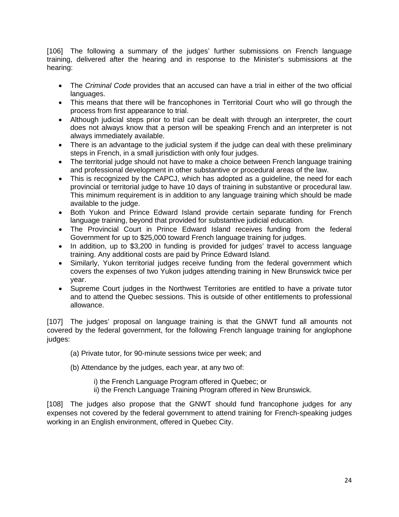[106] The following a summary of the judges' further submissions on French language training, delivered after the hearing and in response to the Minister's submissions at the hearing:

- The *Criminal Code* provides that an accused can have a trial in either of the two official languages.
- This means that there will be francophones in Territorial Court who will go through the process from first appearance to trial.
- Although judicial steps prior to trial can be dealt with through an interpreter, the court does not always know that a person will be speaking French and an interpreter is not always immediately available.
- There is an advantage to the judicial system if the judge can deal with these preliminary steps in French, in a small jurisdiction with only four judges.
- The territorial judge should not have to make a choice between French language training and professional development in other substantive or procedural areas of the law.
- This is recognized by the CAPCJ, which has adopted as a guideline, the need for each provincial or territorial judge to have 10 days of training in substantive or procedural law. This minimum requirement is in addition to any language training which should be made available to the judge.
- Both Yukon and Prince Edward Island provide certain separate funding for French language training, beyond that provided for substantive judicial education.
- The Provincial Court in Prince Edward Island receives funding from the federal Government for up to \$25,000 toward French language training for judges.
- In addition, up to \$3,200 in funding is provided for judges' travel to access language training. Any additional costs are paid by Prince Edward Island.
- Similarly, Yukon territorial judges receive funding from the federal government which covers the expenses of two Yukon judges attending training in New Brunswick twice per year.
- Supreme Court judges in the Northwest Territories are entitled to have a private tutor and to attend the Quebec sessions. This is outside of other entitlements to professional allowance.

[107] The judges' proposal on language training is that the GNWT fund all amounts not covered by the federal government, for the following French language training for anglophone judges:

(a) Private tutor, for 90-minute sessions twice per week; and

(b) Attendance by the judges, each year, at any two of:

i) the French Language Program offered in Quebec; or

ii) the French Language Training Program offered in New Brunswick.

[108] The judges also propose that the GNWT should fund francophone judges for any expenses not covered by the federal government to attend training for French-speaking judges working in an English environment, offered in Quebec City.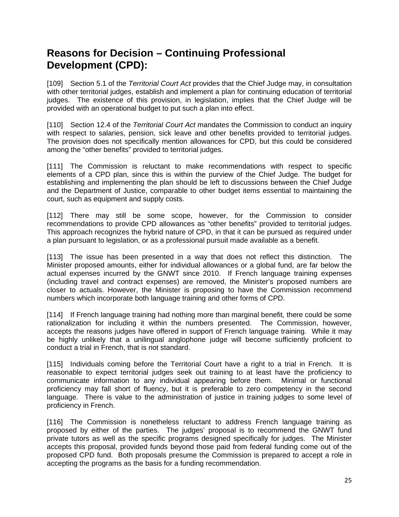### **Reasons for Decision – Continuing Professional Development (CPD):**

[109] Section 5.1 of the *Territorial Court Act* provides that the Chief Judge may, in consultation with other territorial judges, establish and implement a plan for continuing education of territorial judges. The existence of this provision, in legislation, implies that the Chief Judge will be provided with an operational budget to put such a plan into effect.

[110] Section 12.4 of the *Territorial Court Act* mandates the Commission to conduct an inquiry with respect to salaries, pension, sick leave and other benefits provided to territorial judges. The provision does not specifically mention allowances for CPD, but this could be considered among the "other benefits" provided to territorial judges.

[111] The Commission is reluctant to make recommendations with respect to specific elements of a CPD plan, since this is within the purview of the Chief Judge. The budget for establishing and implementing the plan should be left to discussions between the Chief Judge and the Department of Justice, comparable to other budget items essential to maintaining the court, such as equipment and supply costs.

[112] There may still be some scope, however, for the Commission to consider recommendations to provide CPD allowances as "other benefits" provided to territorial judges. This approach recognizes the hybrid nature of CPD, in that it can be pursued as required under a plan pursuant to legislation, or as a professional pursuit made available as a benefit.

[113] The issue has been presented in a way that does not reflect this distinction. The Minister proposed amounts, either for individual allowances or a global fund, are far below the actual expenses incurred by the GNWT since 2010. If French language training expenses (including travel and contract expenses) are removed, the Minister's proposed numbers are closer to actuals. However, the Minister is proposing to have the Commission recommend numbers which incorporate both language training and other forms of CPD.

[114] If French language training had nothing more than marginal benefit, there could be some rationalization for including it within the numbers presented. The Commission, however, accepts the reasons judges have offered in support of French language training. While it may be highly unlikely that a unilingual anglophone judge will become sufficiently proficient to conduct a trial in French, that is not standard.

[115] Individuals coming before the Territorial Court have a right to a trial in French. It is reasonable to expect territorial judges seek out training to at least have the proficiency to communicate information to any individual appearing before them. Minimal or functional proficiency may fall short of fluency, but it is preferable to zero competency in the second language. There is value to the administration of justice in training judges to some level of proficiency in French.

[116] The Commission is nonetheless reluctant to address French language training as proposed by either of the parties. The judges' proposal is to recommend the GNWT fund private tutors as well as the specific programs designed specifically for judges. The Minister accepts this proposal, provided funds beyond those paid from federal funding come out of the proposed CPD fund. Both proposals presume the Commission is prepared to accept a role in accepting the programs as the basis for a funding recommendation.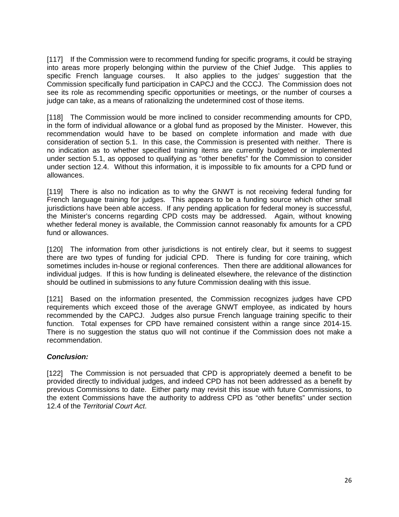[117] If the Commission were to recommend funding for specific programs, it could be straying into areas more properly belonging within the purview of the Chief Judge. This applies to specific French language courses. It also applies to the judges' suggestion that the It also applies to the judges' suggestion that the Commission specifically fund participation in CAPCJ and the CCCJ. The Commission does not see its role as recommending specific opportunities or meetings, or the number of courses a judge can take, as a means of rationalizing the undetermined cost of those items.

[118] The Commission would be more inclined to consider recommending amounts for CPD, in the form of individual allowance or a global fund as proposed by the Minister. However, this recommendation would have to be based on complete information and made with due consideration of section 5.1. In this case, the Commission is presented with neither. There is no indication as to whether specified training items are currently budgeted or implemented under section 5.1, as opposed to qualifying as "other benefits" for the Commission to consider under section 12.4. Without this information, it is impossible to fix amounts for a CPD fund or allowances.

[119] There is also no indication as to why the GNWT is not receiving federal funding for French language training for judges. This appears to be a funding source which other small jurisdictions have been able access. If any pending application for federal money is successful, the Minister's concerns regarding CPD costs may be addressed. Again, without knowing whether federal money is available, the Commission cannot reasonably fix amounts for a CPD fund or allowances.

[120] The information from other jurisdictions is not entirely clear, but it seems to suggest there are two types of funding for judicial CPD. There is funding for core training, which sometimes includes in-house or regional conferences. Then there are additional allowances for individual judges. If this is how funding is delineated elsewhere, the relevance of the distinction should be outlined in submissions to any future Commission dealing with this issue.

[121] Based on the information presented, the Commission recognizes judges have CPD requirements which exceed those of the average GNWT employee, as indicated by hours recommended by the CAPCJ. Judges also pursue French language training specific to their function. Total expenses for CPD have remained consistent within a range since 2014-15. There is no suggestion the status quo will not continue if the Commission does not make a recommendation.

#### *Conclusion:*

[122] The Commission is not persuaded that CPD is appropriately deemed a benefit to be provided directly to individual judges, and indeed CPD has not been addressed as a benefit by previous Commissions to date. Either party may revisit this issue with future Commissions, to the extent Commissions have the authority to address CPD as "other benefits" under section 12.4 of the *Territorial Court Act*.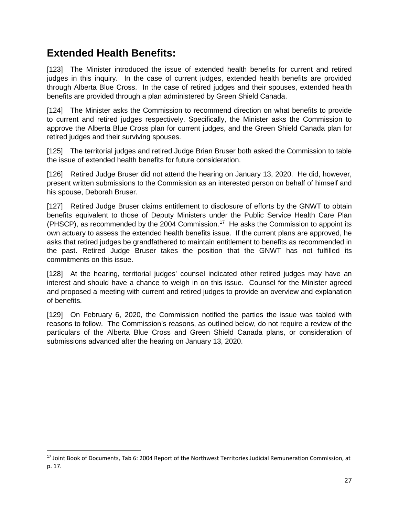### **Extended Health Benefits:**

[123] The Minister introduced the issue of extended health benefits for current and retired judges in this inquiry. In the case of current judges, extended health benefits are provided through Alberta Blue Cross. In the case of retired judges and their spouses, extended health benefits are provided through a plan administered by Green Shield Canada.

[124] The Minister asks the Commission to recommend direction on what benefits to provide to current and retired judges respectively. Specifically, the Minister asks the Commission to approve the Alberta Blue Cross plan for current judges, and the Green Shield Canada plan for retired judges and their surviving spouses.

[125] The territorial judges and retired Judge Brian Bruser both asked the Commission to table the issue of extended health benefits for future consideration.

[126] Retired Judge Bruser did not attend the hearing on January 13, 2020. He did, however, present written submissions to the Commission as an interested person on behalf of himself and his spouse, Deborah Bruser.

[127] Retired Judge Bruser claims entitlement to disclosure of efforts by the GNWT to obtain benefits equivalent to those of Deputy Ministers under the Public Service Health Care Plan (PHSCP), as recommended by the 2004 Commission.<sup>[17](#page-29-0)</sup> He asks the Commission to appoint its own actuary to assess the extended health benefits issue. If the current plans are approved, he asks that retired judges be grandfathered to maintain entitlement to benefits as recommended in the past. Retired Judge Bruser takes the position that the GNWT has not fulfilled its commitments on this issue.

[128] At the hearing, territorial judges' counsel indicated other retired judges may have an interest and should have a chance to weigh in on this issue. Counsel for the Minister agreed and proposed a meeting with current and retired judges to provide an overview and explanation of benefits.

[129] On February 6, 2020, the Commission notified the parties the issue was tabled with reasons to follow. The Commission's reasons, as outlined below, do not require a review of the particulars of the Alberta Blue Cross and Green Shield Canada plans, or consideration of submissions advanced after the hearing on January 13, 2020.

<span id="page-29-0"></span><sup>&</sup>lt;sup>17</sup> Joint Book of Documents, Tab 6: 2004 Report of the Northwest Territories Judicial Remuneration Commission, at p. 17.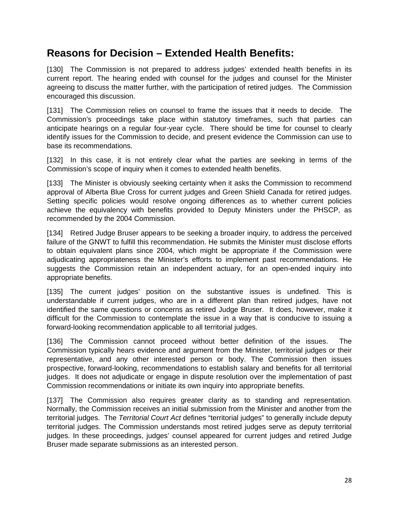### **Reasons for Decision – Extended Health Benefits:**

[130] The Commission is not prepared to address judges' extended health benefits in its current report. The hearing ended with counsel for the judges and counsel for the Minister agreeing to discuss the matter further, with the participation of retired judges. The Commission encouraged this discussion.

[131] The Commission relies on counsel to frame the issues that it needs to decide. The Commission's proceedings take place within statutory timeframes, such that parties can anticipate hearings on a regular four-year cycle. There should be time for counsel to clearly identify issues for the Commission to decide, and present evidence the Commission can use to base its recommendations.

[132] In this case, it is not entirely clear what the parties are seeking in terms of the Commission's scope of inquiry when it comes to extended health benefits.

[133] The Minister is obviously seeking certainty when it asks the Commission to recommend approval of Alberta Blue Cross for current judges and Green Shield Canada for retired judges. Setting specific policies would resolve ongoing differences as to whether current policies achieve the equivalency with benefits provided to Deputy Ministers under the PHSCP, as recommended by the 2004 Commission.

[134] Retired Judge Bruser appears to be seeking a broader inquiry, to address the perceived failure of the GNWT to fulfill this recommendation. He submits the Minister must disclose efforts to obtain equivalent plans since 2004, which might be appropriate if the Commission were adjudicating appropriateness the Minister's efforts to implement past recommendations. He suggests the Commission retain an independent actuary, for an open-ended inquiry into appropriate benefits.

[135] The current judges' position on the substantive issues is undefined. This is understandable if current judges, who are in a different plan than retired judges, have not identified the same questions or concerns as retired Judge Bruser. It does, however, make it difficult for the Commission to contemplate the issue in a way that is conducive to issuing a forward-looking recommendation applicable to all territorial judges.

[136] The Commission cannot proceed without better definition of the issues. The Commission typically hears evidence and argument from the Minister, territorial judges or their representative, and any other interested person or body. The Commission then issues prospective, forward-looking, recommendations to establish salary and benefits for all territorial judges. It does not adjudicate or engage in dispute resolution over the implementation of past Commission recommendations or initiate its own inquiry into appropriate benefits.

[137] The Commission also requires greater clarity as to standing and representation. Normally, the Commission receives an initial submission from the Minister and another from the territorial judges. The *Territorial Court Act* defines "territorial judges" to generally include deputy territorial judges. The Commission understands most retired judges serve as deputy territorial judges. In these proceedings, judges' counsel appeared for current judges and retired Judge Bruser made separate submissions as an interested person.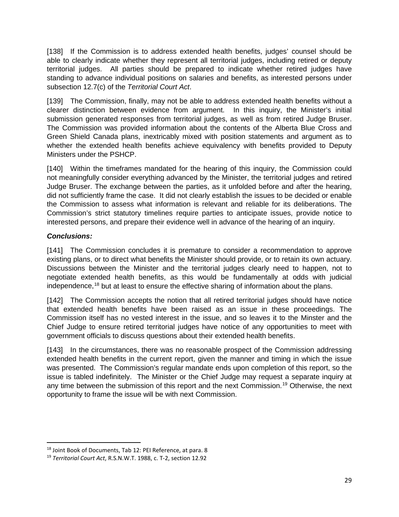[138] If the Commission is to address extended health benefits, judges' counsel should be able to clearly indicate whether they represent all territorial judges, including retired or deputy territorial judges. All parties should be prepared to indicate whether retired judges have standing to advance individual positions on salaries and benefits, as interested persons under subsection 12.7(c) of the *Territorial Court Act*.

[139] The Commission, finally, may not be able to address extended health benefits without a clearer distinction between evidence from argument. In this inquiry, the Minister's initial submission generated responses from territorial judges, as well as from retired Judge Bruser. The Commission was provided information about the contents of the Alberta Blue Cross and Green Shield Canada plans, inextricably mixed with position statements and argument as to whether the extended health benefits achieve equivalency with benefits provided to Deputy Ministers under the PSHCP.

[140] Within the timeframes mandated for the hearing of this inquiry, the Commission could not meaningfully consider everything advanced by the Minister, the territorial judges and retired Judge Bruser. The exchange between the parties, as it unfolded before and after the hearing, did not sufficiently frame the case. It did not clearly establish the issues to be decided or enable the Commission to assess what information is relevant and reliable for its deliberations. The Commission's strict statutory timelines require parties to anticipate issues, provide notice to interested persons, and prepare their evidence well in advance of the hearing of an inquiry.

#### *Conclusions:*

[141] The Commission concludes it is premature to consider a recommendation to approve existing plans, or to direct what benefits the Minister should provide, or to retain its own actuary. Discussions between the Minister and the territorial judges clearly need to happen, not to negotiate extended health benefits, as this would be fundamentally at odds with judicial independence,<sup>[18](#page-31-0)</sup> but at least to ensure the effective sharing of information about the plans.

[142] The Commission accepts the notion that all retired territorial judges should have notice that extended health benefits have been raised as an issue in these proceedings. The Commission itself has no vested interest in the issue, and so leaves it to the Minster and the Chief Judge to ensure retired territorial judges have notice of any opportunities to meet with government officials to discuss questions about their extended health benefits.

[143] In the circumstances, there was no reasonable prospect of the Commission addressing extended health benefits in the current report, given the manner and timing in which the issue was presented. The Commission's regular mandate ends upon completion of this report, so the issue is tabled indefinitely. The Minister or the Chief Judge may request a separate inquiry at any time between the submission of this report and the next Commission.<sup>[19](#page-31-1)</sup> Otherwise, the next opportunity to frame the issue will be with next Commission.

<span id="page-31-0"></span><sup>&</sup>lt;sup>18</sup> Joint Book of Documents, Tab 12: PEI Reference, at para. 8

<span id="page-31-1"></span><sup>19</sup> *Territorial Court Act*, R.S.N.W.T. 1988, c. T-2, section 12.92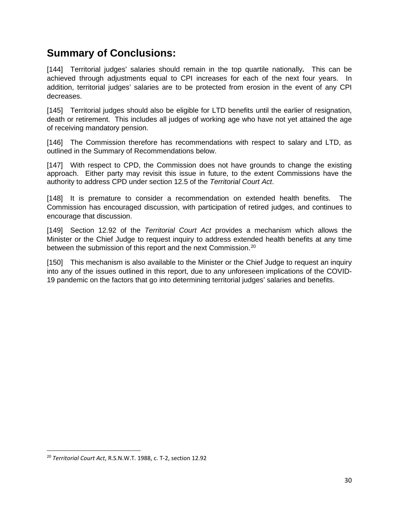### **Summary of Conclusions:**

[144] Territorial judges' salaries should remain in the top quartile nationally*.* This can be achieved through adjustments equal to CPI increases for each of the next four years. In addition, territorial judges' salaries are to be protected from erosion in the event of any CPI decreases.

[145] Territorial judges should also be eligible for LTD benefits until the earlier of resignation, death or retirement. This includes all judges of working age who have not yet attained the age of receiving mandatory pension.

[146] The Commission therefore has recommendations with respect to salary and LTD, as outlined in the Summary of Recommendations below.

[147] With respect to CPD, the Commission does not have grounds to change the existing approach. Either party may revisit this issue in future, to the extent Commissions have the authority to address CPD under section 12.5 of the *Territorial Court Act*.

[148] It is premature to consider a recommendation on extended health benefits. The Commission has encouraged discussion, with participation of retired judges, and continues to encourage that discussion.

[149] Section 12.92 of the *Territorial Court Act* provides a mechanism which allows the Minister or the Chief Judge to request inquiry to address extended health benefits at any time between the submission of this report and the next Commission.<sup>[20](#page-32-0)</sup>

[150] This mechanism is also available to the Minister or the Chief Judge to request an inquiry into any of the issues outlined in this report, due to any unforeseen implications of the COVID-19 pandemic on the factors that go into determining territorial judges' salaries and benefits.

<span id="page-32-0"></span><sup>20</sup> *Territorial Court Act*, R.S.N.W.T. 1988, c. T-2, section 12.92